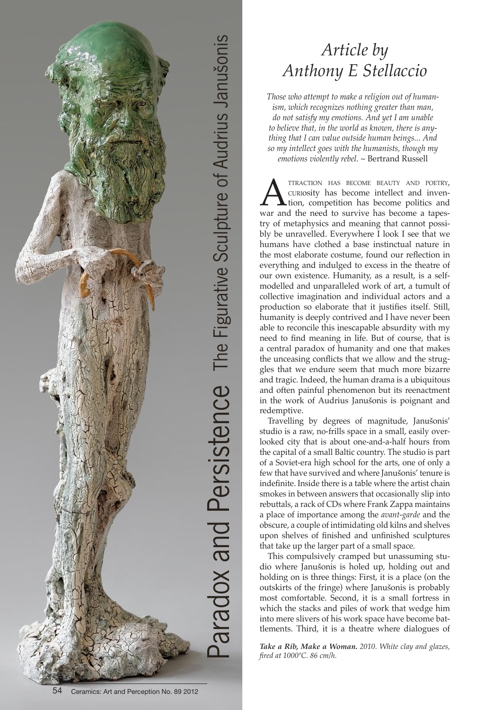

## *Article by Anthony E Stellaccio*

*Those who attempt to make a religion out of humanism, which recognizes nothing greater than man, do not satisfy my emotions. And yet I am unable to believe that, in the world as known, there is anything that I can value outside human beings... And so my intellect goes with the humanists, though my emotions violently rebel. ~* Bertrand Russell

**AND TTRACTION HAS BECOME BEAUTY AND POETRY,**<br>CURIOSITY has become intellect and inven-<br>war and the need to survive has become a tapescuriosity has become intellect and invention, competition has become politics and war and the need to survive has become a tapestry of metaphysics and meaning that cannot possibly be unravelled. Everywhere I look I see that we humans have clothed a base instinctual nature in the most elaborate costume, found our reflection in everything and indulged to excess in the theatre of our own existence. Humanity, as a result, is a selfmodelled and unparalleled work of art, a tumult of collective imagination and individual actors and a production so elaborate that it justifies itself. Still, humanity is deeply contrived and I have never been able to reconcile this inescapable absurdity with my need to find meaning in life. But of course, that is a central paradox of humanity and one that makes the unceasing conflicts that we allow and the struggles that we endure seem that much more bizarre and tragic. Indeed, the human drama is a ubiquitous and often painful phenomenon but its reenactment in the work of Audrius Janušonis is poignant and redemptive.

Travelling by degrees of magnitude, Janušonis' studio is a raw, no-frills space in a small, easily overlooked city that is about one-and-a-half hours from the capital of a small Baltic country. The studio is part of a Soviet-era high school for the arts, one of only a few that have survived and where Janušonis' tenure is indefinite. Inside there is a table where the artist chain smokes in between answers that occasionally slip into rebuttals, a rack of CDs where Frank Zappa maintains a place of importance among the *avant-garde* and the obscure, a couple of intimidating old kilns and shelves upon shelves of finished and unfinished sculptures that take up the larger part of a small space.

This compulsively cramped but unassuming studio where Janušonis is holed up, holding out and holding on is three things: First, it is a place (on the outskirts of the fringe) where Janušonis is probably most comfortable. Second, it is a small fortress in which the stacks and piles of work that wedge him into mere slivers of his work space have become battlements. Third, it is a theatre where dialogues of

*Take a Rib, Make a Woman. 2010. White clay and glazes, fired at 1000ºC. 86 cm/h.*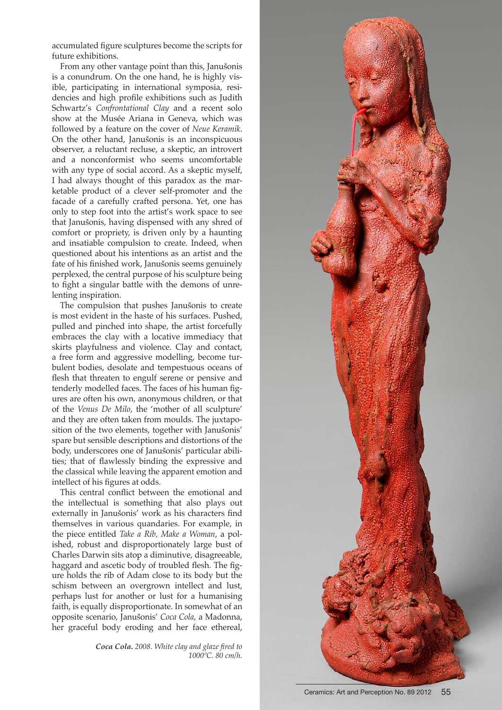accumulated figure sculptures become the scripts for future exhibitions.

From any other vantage point than this, Janušonis is a conundrum. On the one hand, he is highly visible, participating in international symposia, residencies and high profile exhibitions such as Judith Schwartz's *Confrontational Clay* and a recent solo show at the Musée Ariana in Geneva, which was followed by a feature on the cover of *Neue Keramik*. On the other hand, Janušonis is an inconspicuous observer, a reluctant recluse, a skeptic, an introvert and a nonconformist who seems uncomfortable with any type of social accord. As a skeptic myself, I had always thought of this paradox as the marketable product of a clever self-promoter and the facade of a carefully crafted persona. Yet, one has only to step foot into the artist's work space to see that Janušonis, having dispensed with any shred of comfort or propriety, is driven only by a haunting and insatiable compulsion to create. Indeed, when questioned about his intentions as an artist and the fate of his finished work, Janušonis seems genuinely perplexed, the central purpose of his sculpture being to fight a singular battle with the demons of unrelenting inspiration.

The compulsion that pushes Janušonis to create is most evident in the haste of his surfaces. Pushed, pulled and pinched into shape, the artist forcefully embraces the clay with a locative immediacy that skirts playfulness and violence. Clay and contact, a free form and aggressive modelling, become turbulent bodies, desolate and tempestuous oceans of flesh that threaten to engulf serene or pensive and tenderly modelled faces. The faces of his human figures are often his own, anonymous children, or that of the *Venus De Milo*, the 'mother of all sculpture' and they are often taken from moulds. The juxtaposition of the two elements, together with Janušonis' spare but sensible descriptions and distortions of the body, underscores one of Janušonis' particular abilities; that of flawlessly binding the expressive and the classical while leaving the apparent emotion and intellect of his figures at odds.

This central conflict between the emotional and the intellectual is something that also plays out externally in Janušonis' work as his characters find themselves in various quandaries. For example, in the piece entitled *Take a Rib, Make a Woman*, a polished, robust and disproportionately large bust of Charles Darwin sits atop a diminutive, disagreeable, haggard and ascetic body of troubled flesh. The figure holds the rib of Adam close to its body but the schism between an overgrown intellect and lust, perhaps lust for another or lust for a humanising faith, is equally disproportionate. In somewhat of an opposite scenario, Janušonis' *Coca Cola*, a Madonna, her graceful body eroding and her face ethereal,

> *Coca Cola. 2008. White clay and glaze fired to 1000ºC. 80 cm/h.*

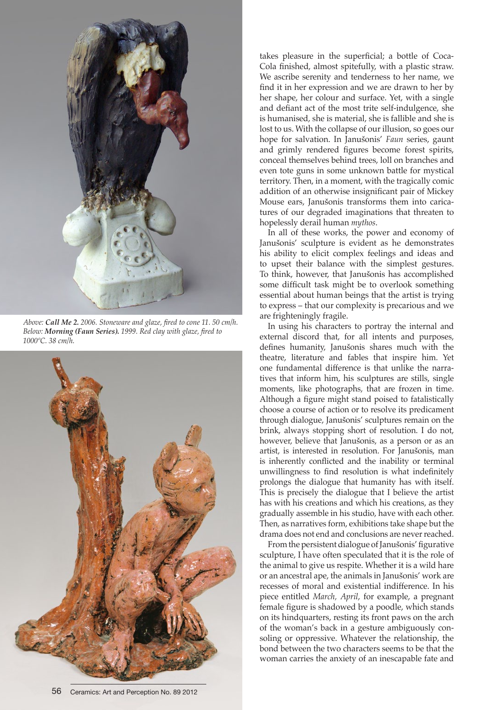

*Above: Call Me 2. 2006. Stoneware and glaze, fired to cone 11. 50 cm/h. Below: Morning (Faun Series). 1999. Red clay with glaze, fired to 1000ºC. 38 cm/h.*



takes pleasure in the superficial; a bottle of Coca-Cola finished, almost spitefully, with a plastic straw. We ascribe serenity and tenderness to her name, we find it in her expression and we are drawn to her by her shape, her colour and surface. Yet, with a single and defiant act of the most trite self-indulgence, she is humanised, she is material, she is fallible and she is lost to us. With the collapse of our illusion, so goes our hope for salvation. In Janušonis' *Faun* series, gaunt and grimly rendered figures become forest spirits, conceal themselves behind trees, loll on branches and even tote guns in some unknown battle for mystical territory. Then, in a moment, with the tragically comic addition of an otherwise insignificant pair of Mickey Mouse ears, Janušonis transforms them into caricatures of our degraded imaginations that threaten to hopelessly derail human *mythos*.

In all of these works, the power and economy of Janušonis' sculpture is evident as he demonstrates his ability to elicit complex feelings and ideas and to upset their balance with the simplest gestures. To think, however, that Janušonis has accomplished some difficult task might be to overlook something essential about human beings that the artist is trying to express – that our complexity is precarious and we are frighteningly fragile.

In using his characters to portray the internal and external discord that, for all intents and purposes, defines humanity, Janušonis shares much with the theatre, literature and fables that inspire him. Yet one fundamental difference is that unlike the narratives that inform him, his sculptures are stills, single moments, like photographs, that are frozen in time. Although a figure might stand poised to fatalistically choose a course of action or to resolve its predicament through dialogue, Janušonis' sculptures remain on the brink, always stopping short of resolution. I do not, however, believe that Janušonis, as a person or as an artist, is interested in resolution. For Janušonis, man is inherently conflicted and the inability or terminal unwillingness to find resolution is what indefinitely prolongs the dialogue that humanity has with itself. This is precisely the dialogue that I believe the artist has with his creations and which his creations, as they gradually assemble in his studio, have with each other. Then, as narratives form, exhibitions take shape but the drama does not end and conclusions are never reached.

From the persistent dialogue of Janušonis' figurative sculpture, I have often speculated that it is the role of the animal to give us respite. Whether it is a wild hare or an ancestral ape, the animals in Janušonis' work are recesses of moral and existential indifference. In his piece entitled *March, April*, for example, a pregnant female figure is shadowed by a poodle, which stands on its hindquarters, resting its front paws on the arch of the woman's back in a gesture ambiguously consoling or oppressive. Whatever the relationship, the bond between the two characters seems to be that the woman carries the anxiety of an inescapable fate and